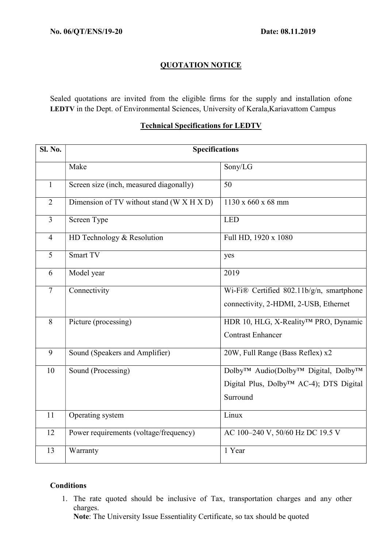## QUOTATION NOTICE

Sealed quotations are invited from the eligible firms for the supply and installation ofone LEDTV in the Dept. of Environmental Sciences, University of Kerala,Kariavattom Campus

## Technical Specifications for LEDTV

| <b>Sl. No.</b> | <b>Specifications</b>                     |                                                                                                                                            |
|----------------|-------------------------------------------|--------------------------------------------------------------------------------------------------------------------------------------------|
|                | Make                                      | Sony/LG                                                                                                                                    |
| $\mathbf{1}$   | Screen size (inch, measured diagonally)   | 50                                                                                                                                         |
| $\overline{2}$ | Dimension of TV without stand (W X H X D) | 1130 x 660 x 68 mm                                                                                                                         |
| $\overline{3}$ | Screen Type                               | LED                                                                                                                                        |
| $\overline{4}$ | HD Technology & Resolution                | Full HD, 1920 x 1080                                                                                                                       |
| $\overline{5}$ | Smart TV                                  | yes                                                                                                                                        |
| 6              | Model year                                | 2019                                                                                                                                       |
| $\overline{7}$ | Connectivity                              | Wi-Fi® Certified 802.11b/g/n, smartphone<br>connectivity, 2-HDMI, 2-USB, Ethernet                                                          |
| 8              | Picture (processing)                      | HDR 10, HLG, X-Reality™ PRO, Dynamic<br><b>Contrast Enhancer</b>                                                                           |
| 9              | Sound (Speakers and Amplifier)            | 20W, Full Range (Bass Reflex) x2                                                                                                           |
| 10             | Sound (Processing)                        | Dolby <sup>™</sup> Audio(Dolby <sup>™</sup> Digital, Dolby <sup>™</sup><br>Digital Plus, Dolby <sup>™</sup> AC-4); DTS Digital<br>Surround |
| 11             | Operating system                          | Linux                                                                                                                                      |
| 12             | Power requirements (voltage/frequency)    | AC 100-240 V, 50/60 Hz DC 19.5 V                                                                                                           |
| 13             | Warranty                                  | 1 Year                                                                                                                                     |

## **Conditions**

1. The rate quoted should be inclusive of Tax, transportation charges and any other charges.

Note: The University Issue Essentiality Certificate, so tax should be quoted